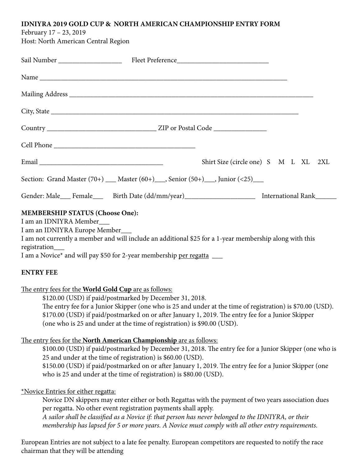## **IDNIYRA 2019 GOLD CUP & NORTH AMERICAN CHAMPIONSHIP ENTRY FORM**

February 17 – 23, 2019

Host: North American Central Region

| Shirt Size (circle one) S M L XL 2XL                                                                                                                                                                                                                                                                                                                                                                                                                                                                                                        |  |
|---------------------------------------------------------------------------------------------------------------------------------------------------------------------------------------------------------------------------------------------------------------------------------------------------------------------------------------------------------------------------------------------------------------------------------------------------------------------------------------------------------------------------------------------|--|
| Section: Grand Master $(70+)$ ___ Master $(60+)$ ___, Senior $(50+)$ ___, Junior $(\le 25)$ ___                                                                                                                                                                                                                                                                                                                                                                                                                                             |  |
| Gender: Male___ Female___ Birth Date (dd/mm/year)____________________ International Rank______                                                                                                                                                                                                                                                                                                                                                                                                                                              |  |
| <b>MEMBERSHIP STATUS (Choose One):</b><br>I am an IDNIYRA Member<br>I am an IDNIYRA Europe Member___<br>I am not currently a member and will include an additional \$25 for a 1-year membership along with this<br>registration___<br>I am a Novice* and will pay \$50 for 2-year membership per regatta _____<br><b>ENTRY FEE</b>                                                                                                                                                                                                          |  |
| The entry fees for the World Gold Cup are as follows:<br>\$120.00 (USD) if paid/postmarked by December 31, 2018.<br>The entry fee for a Junior Skipper (one who is 25 and under at the time of registration) is \$70.00 (USD).<br>\$170.00 (USD) if paid/postmarked on or after January 1, 2019. The entry fee for a Junior Skipper<br>(one who is 25 and under at the time of registration) is \$90.00 (USD).                                                                                                                              |  |
| The entry fees for the North American Championship are as follows:<br>\$100.00 (USD) if paid/postmarked by December 31, 2018. The entry fee for a Junior Skipper (one who is<br>25 and under at the time of registration) is \$60.00 (USD).<br>\$150.00 (USD) if paid/postmarked on or after January 1, 2019. The entry fee for a Junior Skipper (one<br>who is 25 and under at the time of registration) is \$80.00 (USD).                                                                                                                 |  |
| *Novice Entries for either regatta:<br>Novice DN skippers may enter either or both Regattas with the payment of two years association dues<br>per regatta. No other event registration payments shall apply.<br>A sailor shall be classified as a Novice if: that person has never belonged to the IDNIYRA, or their<br>membership has lapsed for 5 or more years. A Novice must comply with all other entry requirements.<br>European Entries are not subject to a late fee penalty. European competitors are requested to notify the race |  |

chairman that they will be attending